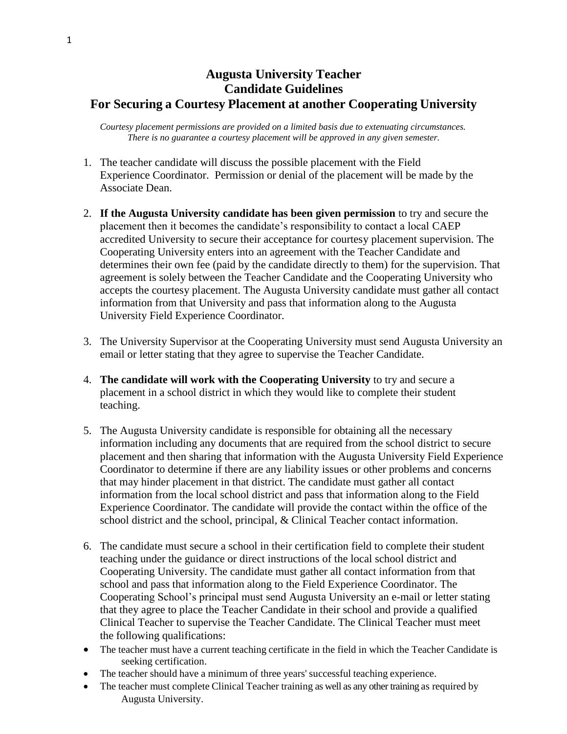## **Augusta University Teacher Candidate Guidelines For Securing a Courtesy Placement at another Cooperating University**

*Courtesy placement permissions are provided on a limited basis due to extenuating circumstances. There is no guarantee a courtesy placement will be approved in any given semester.*

- 1. The teacher candidate will discuss the possible placement with the Field Experience Coordinator. Permission or denial of the placement will be made by the Associate Dean.
- 2. **If the Augusta University candidate has been given permission** to try and secure the placement then it becomes the candidate's responsibility to contact a local CAEP accredited University to secure their acceptance for courtesy placement supervision. The Cooperating University enters into an agreement with the Teacher Candidate and determines their own fee (paid by the candidate directly to them) for the supervision. That agreement is solely between the Teacher Candidate and the Cooperating University who accepts the courtesy placement. The Augusta University candidate must gather all contact information from that University and pass that information along to the Augusta University Field Experience Coordinator.
- 3. The University Supervisor at the Cooperating University must send Augusta University an email or letter stating that they agree to supervise the Teacher Candidate.
- 4. **The candidate will work with the Cooperating University** to try and secure a placement in a school district in which they would like to complete their student teaching.
- 5. The Augusta University candidate is responsible for obtaining all the necessary information including any documents that are required from the school district to secure placement and then sharing that information with the Augusta University Field Experience Coordinator to determine if there are any liability issues or other problems and concerns that may hinder placement in that district. The candidate must gather all contact information from the local school district and pass that information along to the Field Experience Coordinator. The candidate will provide the contact within the office of the school district and the school, principal, & Clinical Teacher contact information.
- 6. The candidate must secure a school in their certification field to complete their student teaching under the guidance or direct instructions of the local school district and Cooperating University. The candidate must gather all contact information from that school and pass that information along to the Field Experience Coordinator. The Cooperating School's principal must send Augusta University an e-mail or letter stating that they agree to place the Teacher Candidate in their school and provide a qualified Clinical Teacher to supervise the Teacher Candidate. The Clinical Teacher must meet the following qualifications:
- The teacher must have a current teaching certificate in the field in which the Teacher Candidate is seeking certification.
- The teacher should have a minimum of three years' successful teaching experience.
- The teacher must complete Clinical Teacher training as well as any other training as required by Augusta University.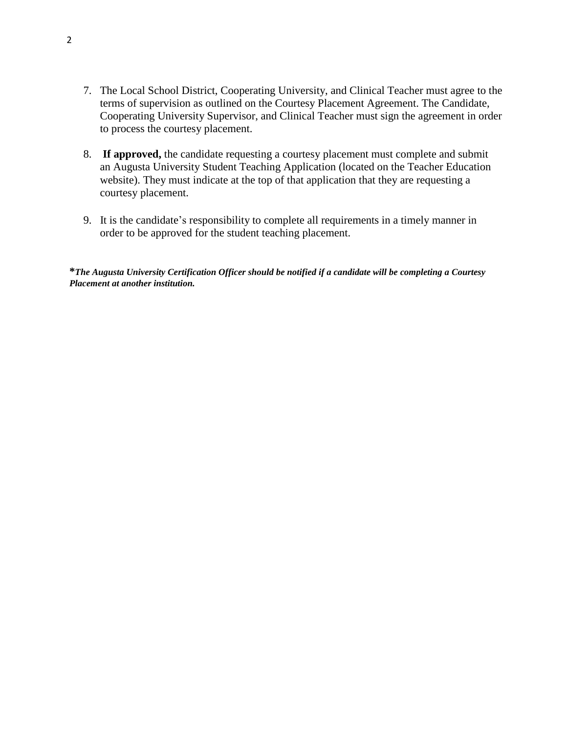- 7. The Local School District, Cooperating University, and Clinical Teacher must agree to the terms of supervision as outlined on the Courtesy Placement Agreement. The Candidate, Cooperating University Supervisor, and Clinical Teacher must sign the agreement in order to process the courtesy placement.
- 8. **If approved,** the candidate requesting a courtesy placement must complete and submit an Augusta University Student Teaching Application (located on the Teacher Education website). They must indicate at the top of that application that they are requesting a courtesy placement.
- 9. It is the candidate's responsibility to complete all requirements in a timely manner in order to be approved for the student teaching placement.

**\****The Augusta University Certification Officer should be notified if a candidate will be completing a Courtesy Placement at another institution.*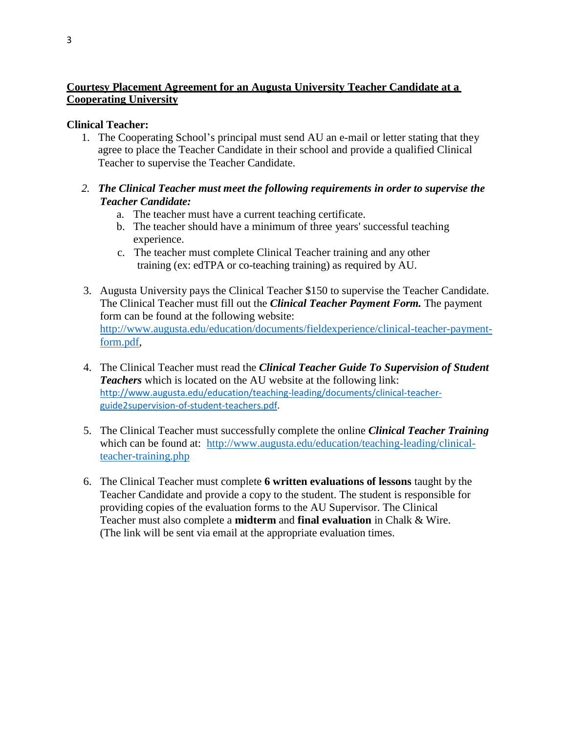## **Courtesy Placement Agreement for an Augusta University Teacher Candidate at a Cooperating University**

## **Clinical Teacher:**

- 1. The Cooperating School's principal must send AU an e-mail or letter stating that they agree to place the Teacher Candidate in their school and provide a qualified Clinical Teacher to supervise the Teacher Candidate.
- *2. The Clinical Teacher must meet the following requirements in order to supervise the Teacher Candidate:*
	- a. The teacher must have a current teaching certificate.
	- b. The teacher should have a minimum of three years' successful teaching experience.
	- c. The teacher must complete Clinical Teacher training and any other training (ex: edTPA or co-teaching training) as required by AU.
- 3. Augusta University pays the Clinical Teacher \$150 to supervise the Teacher Candidate. The Clinical Teacher must fill out the *Clinical Teacher Payment Form.* The payment form can be found at the following website: [http://www.augusta.edu/education/documents/fieldexperience/clinical-teacher-payment](http://www.augusta.edu/education/documents/fieldexperience/clinical-teacher-payment-form.pdf)[form.pdf,](http://www.augusta.edu/education/documents/fieldexperience/clinical-teacher-payment-form.pdf)
- 4. The Clinical Teacher must read the *Clinical Teacher Guide To Supervision of Student Teachers* which is located on the AU website at the following link: [http://www.augusta.edu/education/teaching-leading/documents/clinical-teacher](http://www.augusta.edu/education/teaching-leading/documents/clinical-teacher-guide2supervision-of-student-teachers.pdf)[guide2supervision-of-student-teachers.pdf.](http://www.augusta.edu/education/teaching-leading/documents/clinical-teacher-guide2supervision-of-student-teachers.pdf)
- 5. The Clinical Teacher must successfully complete the online *Clinical Teacher Training* which can be found at: [http://www.augusta.edu/education/teaching-leading/clinical](http://www.augusta.edu/education/teaching-leading/clinical-teacher-training.php)[teacher-training.php](http://www.augusta.edu/education/teaching-leading/clinical-teacher-training.php)
- 6. The Clinical Teacher must complete **6 written evaluations of lessons** taught by the Teacher Candidate and provide a copy to the student. The student is responsible for providing copies of the evaluation forms to the AU Supervisor. The Clinical Teacher must also complete a **midterm** and **final evaluation** in Chalk & Wire. (The link will be sent via email at the appropriate evaluation times.